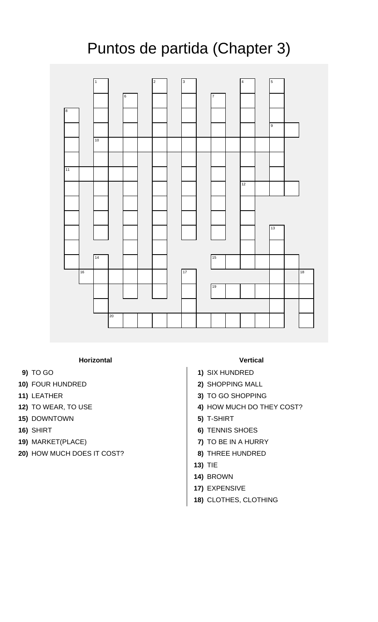## Puntos de partida (Chapter 3)



## **Horizontal Vertical**

- 
- **10)** FOUR HUNDRED **2)** SHOPPING MALL
- 
- 
- **15)** DOWNTOWN **5)** T-SHIRT
- 
- 
- **20)** HOW MUCH DOES IT COST? **8)** THREE HUNDRED

- **9)** TO GO **1)** SIX HUNDRED
	-
- **11)** LEATHER **3)** TO GO SHOPPING
- **12)** TO WEAR, TO USE **4)** HOW MUCH DO THEY COST?
	-
- **16)** SHIRT **6)** TENNIS SHOES
- **19)** MARKET(PLACE) **7)** TO BE IN A HURRY
	-
	- **13)** TIE
	- **14)** BROWN
	- **17)** EXPENSIVE
	- **18)** CLOTHES, CLOTHING